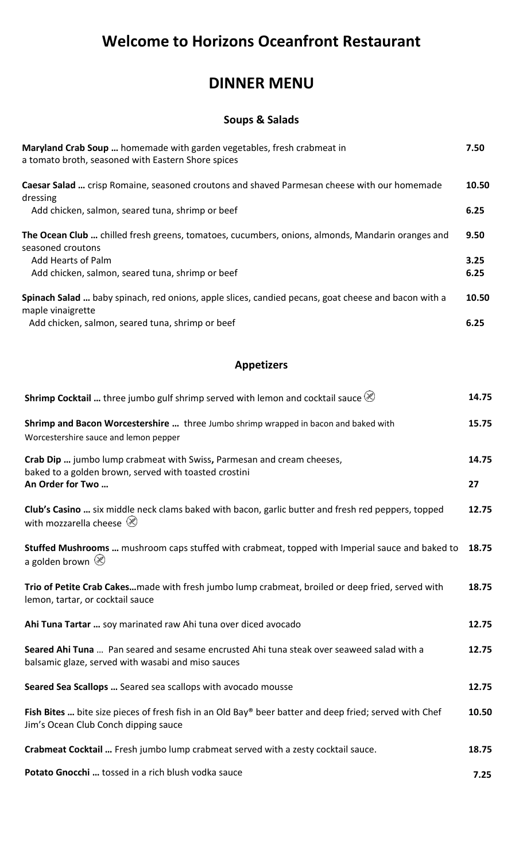# **Welcome to Horizons Oceanfront Restaurant**

## **DINNER MENU**

### **Soups & Salads**

| Maryland Crab Soup  homemade with garden vegetables, fresh crabmeat in<br>a tomato broth, seasoned with Eastern Shore spices | 7.50  |
|------------------------------------------------------------------------------------------------------------------------------|-------|
| Caesar Salad  crisp Romaine, seasoned croutons and shaved Parmesan cheese with our homemade<br>dressing                      | 10.50 |
| Add chicken, salmon, seared tuna, shrimp or beef                                                                             | 6.25  |
| The Ocean Club  chilled fresh greens, tomatoes, cucumbers, onions, almonds, Mandarin oranges and<br>seasoned croutons        | 9.50  |
| Add Hearts of Palm                                                                                                           | 3.25  |
| Add chicken, salmon, seared tuna, shrimp or beef                                                                             | 6.25  |
| Spinach Salad  baby spinach, red onions, apple slices, candied pecans, goat cheese and bacon with a<br>maple vinaigrette     | 10.50 |
| Add chicken, salmon, seared tuna, shrimp or beef                                                                             | 6.25  |

### **Appetizers**

| <b>Shrimp Cocktail </b> three jumbo gulf shrimp served with lemon and cocktail sauce $\mathcal{O}$                                                 | 14.75       |
|----------------------------------------------------------------------------------------------------------------------------------------------------|-------------|
| Shrimp and Bacon Worcestershire  three Jumbo shrimp wrapped in bacon and baked with<br>Worcestershire sauce and lemon pepper                       | 15.75       |
| Crab Dip  jumbo lump crabmeat with Swiss, Parmesan and cream cheeses,<br>baked to a golden brown, served with toasted crostini<br>An Order for Two | 14.75<br>27 |
| Club's Casino  six middle neck clams baked with bacon, garlic butter and fresh red peppers, topped<br>with mozzarella cheese $\otimes$             | 12.75       |
| Stuffed Mushrooms  mushroom caps stuffed with crabmeat, topped with Imperial sauce and baked to<br>a golden brown $\otimes$                        | 18.75       |
| Trio of Petite Crab Cakesmade with fresh jumbo lump crabmeat, broiled or deep fried, served with<br>lemon, tartar, or cocktail sauce               | 18.75       |
| Ahi Tuna Tartar  soy marinated raw Ahi tuna over diced avocado                                                                                     | 12.75       |
| Seared Ahi Tuna  Pan seared and sesame encrusted Ahi tuna steak over seaweed salad with a<br>balsamic glaze, served with wasabi and miso sauces    | 12.75       |
| Seared Sea Scallops  Seared sea scallops with avocado mousse                                                                                       | 12.75       |
| Fish Bites  bite size pieces of fresh fish in an Old Bay® beer batter and deep fried; served with Chef<br>Jim's Ocean Club Conch dipping sauce     | 10.50       |
| Crabmeat Cocktail  Fresh jumbo lump crabmeat served with a zesty cocktail sauce.                                                                   | 18.75       |
| Potato Gnocchi  tossed in a rich blush vodka sauce                                                                                                 | 7.25        |